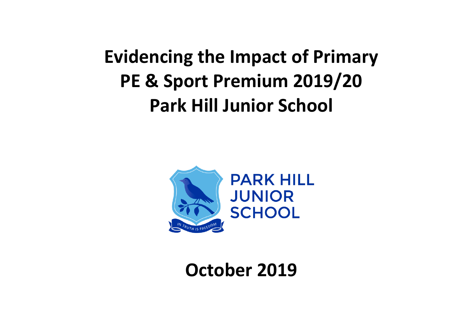**Evidencing the Impact of Primary PE & Sport Premium 2019/20 Park Hill Junior School**



**October 2019**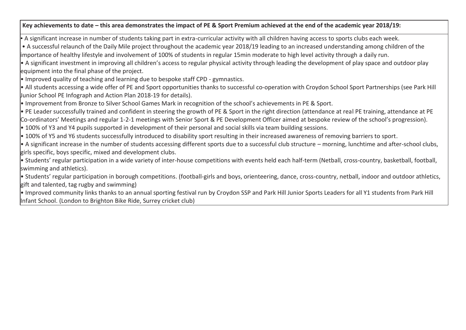## **Key achievements to date – this area demonstrates the impact of PE & Sport Premium achieved at the end of the academic year 2018/19:**

• A significant increase in number of students taking part in extra-curricular activity with all children having access to sports clubs each week.

• A successful relaunch of the Daily Mile project throughout the academic year 2018/19 leading to an increased understanding among children of the importance of healthy lifestyle and involvement of 100% of students in regular 15min moderate to high level activity through a daily run.

• A significant investment in improving all children's access to regular physical activity through leading the development of play space and outdoor play equipment into the final phase of the project.

• Improved quality of teaching and learning due to bespoke staff CPD - gymnastics.

• All students accessing a wide offer of PE and Sport opportunities thanks to successful co-operation with Croydon School Sport Partnerships (see Park Hill Junior School PE Infograph and Action Plan 2018-19 for details).

• Improvement from Bronze to Silver School Games Mark in recognition of the school's achievements in PE & Sport.

• PE Leader successfully trained and confident in steering the growth of PE & Sport in the right direction (attendance at real PE training, attendance at PE Co-ordinators' Meetings and regular 1-2-1 meetings with Senior Sport & PE Development Officer aimed at bespoke review of the school's progression).

• 100% of Y3 and Y4 pupils supported in development of their personal and social skills via team building sessions.

• 100% of Y5 and Y6 students successfully introduced to disability sport resulting in their increased awareness of removing barriers to sport.

• A significant increase in the number of students accessing different sports due to a successful club structure – morning, lunchtime and after-school clubs, girls specific, boys specific, mixed and development clubs.

• Students' regular participation in a wide variety of inter-house competitions with events held each half-term (Netball, cross-country, basketball, football, swimming and athletics).

• Students' regular participation in borough competitions. (football-girls and boys, orienteering, dance, cross-country, netball, indoor and outdoor athletics, gift and talented, tag rugby and swimming)

• Improved community links thanks to an annual sporting festival run by Croydon SSP and Park Hill Junior Sports Leaders for all Y1 students from Park Hill Infant School. (London to Brighton Bike Ride, Surrey cricket club)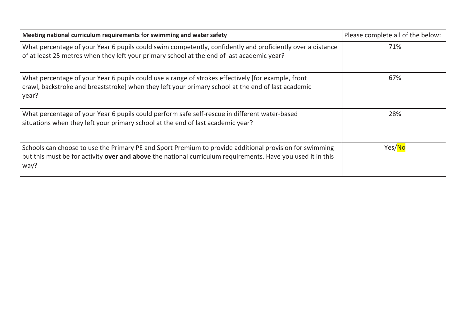| Meeting national curriculum requirements for swimming and water safety                                                                                                                                                         | Please complete all of the below: |
|--------------------------------------------------------------------------------------------------------------------------------------------------------------------------------------------------------------------------------|-----------------------------------|
| What percentage of your Year 6 pupils could swim competently, confidently and proficiently over a distance<br>of at least 25 metres when they left your primary school at the end of last academic year?                       | 71%                               |
| What percentage of your Year 6 pupils could use a range of strokes effectively [for example, front<br>crawl, backstroke and breaststroke] when they left your primary school at the end of last academic<br>year?              | 67%                               |
| What percentage of your Year 6 pupils could perform safe self-rescue in different water-based<br>situations when they left your primary school at the end of last academic year?                                               | 28%                               |
| Schools can choose to use the Primary PE and Sport Premium to provide additional provision for swimming<br>but this must be for activity over and above the national curriculum requirements. Have you used it in this<br>way? | Yes/No                            |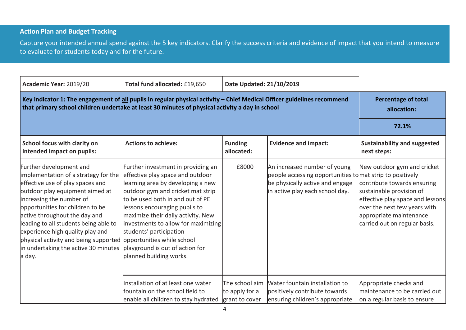## **Action Plan and Budget Tracking**

Capture your intended annual spend against the 5 key indicators. Clarify the success criteria and evidence of impact that you intend to measure to evaluate for students today and for the future.

| Academic Year: 2019/20                                                                                                                                                                                                                                                                                                                                                                                          | Total fund allocated: £19,650                                                                                                                                                                                                                                                                                                                                                                                             | Date Updated: 21/10/2019                           |                                                                                                                                                                 |                                                                                                                                                                                                                        |
|-----------------------------------------------------------------------------------------------------------------------------------------------------------------------------------------------------------------------------------------------------------------------------------------------------------------------------------------------------------------------------------------------------------------|---------------------------------------------------------------------------------------------------------------------------------------------------------------------------------------------------------------------------------------------------------------------------------------------------------------------------------------------------------------------------------------------------------------------------|----------------------------------------------------|-----------------------------------------------------------------------------------------------------------------------------------------------------------------|------------------------------------------------------------------------------------------------------------------------------------------------------------------------------------------------------------------------|
| Key indicator 1: The engagement of all pupils in regular physical activity - Chief Medical Officer guidelines recommend<br>that primary school children undertake at least 30 minutes of physical activity a day in school                                                                                                                                                                                      | <b>Percentage of total</b><br>allocation:                                                                                                                                                                                                                                                                                                                                                                                 |                                                    |                                                                                                                                                                 |                                                                                                                                                                                                                        |
|                                                                                                                                                                                                                                                                                                                                                                                                                 |                                                                                                                                                                                                                                                                                                                                                                                                                           |                                                    |                                                                                                                                                                 | 72.1%                                                                                                                                                                                                                  |
| School focus with clarity on<br>intended impact on pupils:                                                                                                                                                                                                                                                                                                                                                      | <b>Actions to achieve:</b>                                                                                                                                                                                                                                                                                                                                                                                                | <b>Funding</b><br>allocated:                       | <b>Evidence and impact:</b>                                                                                                                                     | <b>Sustainability and suggested</b><br>next steps:                                                                                                                                                                     |
| Further development and<br>implementation of a strategy for the<br>effective use of play spaces and<br>outdoor play equipment aimed at<br>increasing the number of<br>opportunities for children to be<br>active throughout the day and<br>leading to all students being able to<br>experience high quality play and<br>physical activity and being supported<br>in undertaking the active 30 minutes<br>a day. | Further investment in providing an<br>effective play space and outdoor<br>learning area by developing a new<br>outdoor gym and cricket mat strip<br>to be used both in and out of PE<br>lessons encouraging pupils to<br>maximize their daily activity. New<br>investments to allow for maximizing<br>students' participation<br>opportunities while school<br>playground is out of action for<br>planned building works. | £8000                                              | An increased number of young<br>people accessing opportunities to mat strip to positively<br>be physically active and engage<br>in active play each school day. | New outdoor gym and cricket<br>contribute towards ensuring<br>sustainable provision of<br>effective play space and lessons<br>over the next few years with<br>appropriate maintenance<br>carried out on regular basis. |
|                                                                                                                                                                                                                                                                                                                                                                                                                 | Installation of at least one water<br>fountain on the school field to<br>enable all children to stay hydrated                                                                                                                                                                                                                                                                                                             | The school aim<br>to apply for a<br>grant to cover | Water fountain installation to<br>positively contribute towards<br>ensuring children's appropriate                                                              | Appropriate checks and<br>maintenance to be carried out<br>on a regular basis to ensure                                                                                                                                |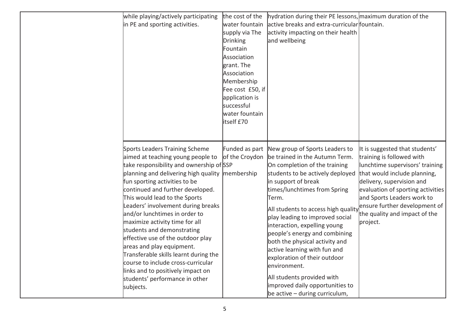| while playing/actively participating<br>in PE and sporting activities.                                                                                                                                                                                                                                                                                                                                                                                                                                                                                                                                                                    | the cost of the<br>water fountain<br>supply via The<br><b>Drinking</b><br>Fountain<br>Association<br>grant. The<br>Association<br>Membership<br>Fee cost £50, if<br>application is<br>successful<br>water fountain<br>itself £70 | hydration during their PE lessons, maximum duration of the<br>active breaks and extra-curricular fountain.<br>activity impacting on their health<br>and wellbeing                                                                                                                                                                                                                                                                                                                                                                                                       |                                                                                                                                                                                                                                                                                                              |
|-------------------------------------------------------------------------------------------------------------------------------------------------------------------------------------------------------------------------------------------------------------------------------------------------------------------------------------------------------------------------------------------------------------------------------------------------------------------------------------------------------------------------------------------------------------------------------------------------------------------------------------------|----------------------------------------------------------------------------------------------------------------------------------------------------------------------------------------------------------------------------------|-------------------------------------------------------------------------------------------------------------------------------------------------------------------------------------------------------------------------------------------------------------------------------------------------------------------------------------------------------------------------------------------------------------------------------------------------------------------------------------------------------------------------------------------------------------------------|--------------------------------------------------------------------------------------------------------------------------------------------------------------------------------------------------------------------------------------------------------------------------------------------------------------|
| Sports Leaders Training Scheme<br>aimed at teaching young people to<br>take responsibility and ownership of SSP<br>planning and delivering high quality<br>fun sporting activities to be<br>continued and further developed.<br>This would lead to the Sports<br>Leaders' involvement during breaks<br>and/or lunchtimes in order to<br>maximize activity time for all<br>students and demonstrating<br>effective use of the outdoor play<br>areas and play equipment.<br>Transferable skills learnt during the<br>course to include cross-curricular<br>links and to positively impact on<br>students' performance in other<br>subjects. | Funded as part<br>of the Croydon<br>membership                                                                                                                                                                                   | New group of Sports Leaders to<br>be trained in the Autumn Term.<br>On completion of the training<br>students to be actively deployed<br>in support of break<br>times/lunchtimes from Spring<br>Term.<br>All students to access high quality<br>play leading to improved social<br>interaction, expelling young<br>people's energy and combining<br>both the physical activity and<br>active learning with fun and<br>exploration of their outdoor<br>environment.<br>All students provided with<br>improved daily opportunities to<br>be active $-$ during curriculum, | It is suggested that students'<br>training is followed with<br>lunchtime supervisors' training<br>that would include planning,<br>delivery, supervision and<br>evaluation of sporting activities<br>and Sports Leaders work to<br>ensure further development of<br>the quality and impact of the<br>project. |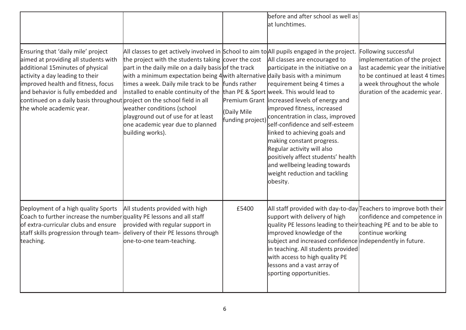|                                                                                                                                                                                                                                                                                                                                       |                                                                                                                                                                                                                                                                                                                                                                                                                                                                                                                                                                               |                                 | before and after school as well as<br>at lunchtimes.                                                                                                                                                                                                                                                                                                                                                                                                                     |                                                                                                                                                                                                 |
|---------------------------------------------------------------------------------------------------------------------------------------------------------------------------------------------------------------------------------------------------------------------------------------------------------------------------------------|-------------------------------------------------------------------------------------------------------------------------------------------------------------------------------------------------------------------------------------------------------------------------------------------------------------------------------------------------------------------------------------------------------------------------------------------------------------------------------------------------------------------------------------------------------------------------------|---------------------------------|--------------------------------------------------------------------------------------------------------------------------------------------------------------------------------------------------------------------------------------------------------------------------------------------------------------------------------------------------------------------------------------------------------------------------------------------------------------------------|-------------------------------------------------------------------------------------------------------------------------------------------------------------------------------------------------|
| Ensuring that 'daily mile' project<br>aimed at providing all students with<br>additional 15minutes of physical<br>activity a day leading to their<br>improved health and fitness, focus<br>and behavior is fully embedded and<br>continued on a daily basis throughout project on the school field in all<br>the whole academic year. | All classes to get actively involved in School to aim to All pupils engaged in the project.<br>the project with the students taking cover the cost<br>part in the daily mile on a daily basis of the track<br>with a minimum expectation being 4 with alternative daily basis with a minimum<br>times a week. Daily mile track to be funds rather<br>installed to enable continuity of the $\frac{1}{2}$ than PE & Sport week. This would lead to<br>weather conditions (school<br>playground out of use for at least<br>one academic year due to planned<br>building works). | (Daily Mile<br>funding project) | All classes are encouraged to<br>participate in the initiative on a<br>requirement being 4 times a<br>Premium Grant increased levels of energy and<br>improved fitness, increased<br>concentration in class, improved<br>self-confidence and self-esteem<br>linked to achieving goals and<br>making constant progress.<br>Regular activity will also<br>positively affect students' health<br>and wellbeing leading towards<br>weight reduction and tackling<br>obesity. | Following successful<br>implementation of the project<br>last academic year the initiative<br>to be continued at least 4 times<br>a week throughout the whole<br>duration of the academic year. |
| Deployment of a high quality Sports<br>Coach to further increase the number quality PE lessons and all staff<br>of extra-curricular clubs and ensure<br>staff skills progression through team-<br>teaching.                                                                                                                           | All students provided with high<br>provided with regular support in<br>delivery of their PE lessons through<br>one-to-one team-teaching.                                                                                                                                                                                                                                                                                                                                                                                                                                      | £5400                           | All staff provided with day-to-day Teachers to improve both their<br>support with delivery of high<br>quality PE lessons leading to their teaching PE and to be able to<br>improved knowledge of the<br>subject and increased confidence independently in future.<br>in teaching. All students provided<br>with access to high quality PE<br>lessons and a vast array of<br>sporting opportunities.                                                                      | confidence and competence in<br>continue working                                                                                                                                                |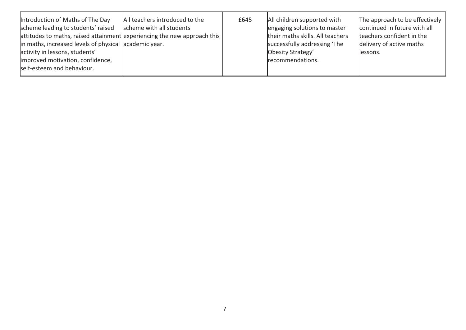| Introduction of Maths of The Day<br>scheme leading to students' raised<br>attitudes to maths, raised attainment experiencing the new approach this<br>in maths, increased levels of physical academic year.<br>activity in lessons, students'<br>improved motivation, confidence,<br>self-esteem and behaviour. | All teachers introduced to the<br>scheme with all students | £645 | All children supported with<br>engaging solutions to master<br>their maths skills. All teachers<br>successfully addressing 'The<br>Obesity Strategy'<br>recommendations. | The approach to be effectively<br>continued in future with all<br>teachers confident in the<br>delivery of active maths<br>llessons. |
|-----------------------------------------------------------------------------------------------------------------------------------------------------------------------------------------------------------------------------------------------------------------------------------------------------------------|------------------------------------------------------------|------|--------------------------------------------------------------------------------------------------------------------------------------------------------------------------|--------------------------------------------------------------------------------------------------------------------------------------|
|-----------------------------------------------------------------------------------------------------------------------------------------------------------------------------------------------------------------------------------------------------------------------------------------------------------------|------------------------------------------------------------|------|--------------------------------------------------------------------------------------------------------------------------------------------------------------------------|--------------------------------------------------------------------------------------------------------------------------------------|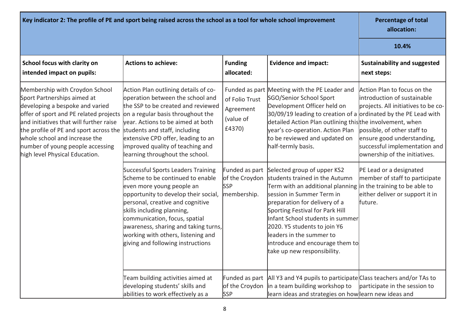| Key indicator 2: The profile of PE and sport being raised across the school as a tool for whole school improvement                                                                                                                                                                                                                     | <b>Percentage of total</b><br>allocation:                                                                                                                                                                                                                                                                                                                                |                                                    |                                                                                                                                                                                                                                                                                                                                                                                                                       |                                                                                                                                                                                                                                  |
|----------------------------------------------------------------------------------------------------------------------------------------------------------------------------------------------------------------------------------------------------------------------------------------------------------------------------------------|--------------------------------------------------------------------------------------------------------------------------------------------------------------------------------------------------------------------------------------------------------------------------------------------------------------------------------------------------------------------------|----------------------------------------------------|-----------------------------------------------------------------------------------------------------------------------------------------------------------------------------------------------------------------------------------------------------------------------------------------------------------------------------------------------------------------------------------------------------------------------|----------------------------------------------------------------------------------------------------------------------------------------------------------------------------------------------------------------------------------|
|                                                                                                                                                                                                                                                                                                                                        |                                                                                                                                                                                                                                                                                                                                                                          |                                                    |                                                                                                                                                                                                                                                                                                                                                                                                                       | 10.4%                                                                                                                                                                                                                            |
| School focus with clarity on<br>intended impact on pupils:                                                                                                                                                                                                                                                                             | <b>Actions to achieve:</b>                                                                                                                                                                                                                                                                                                                                               | <b>Funding</b><br>allocated:                       | <b>Evidence and impact:</b>                                                                                                                                                                                                                                                                                                                                                                                           | <b>Sustainability and suggested</b><br>next steps:                                                                                                                                                                               |
| Membership with Croydon School<br>Sport Partnerships aimed at<br>developing a bespoke and varied<br>offer of sport and PE related projects<br>and initiatives that will further raise<br>the profile of PE and sport across the<br>whole school and increase the<br>number of young people accessing<br>high level Physical Education. | Action Plan outlining details of co-<br>operation between the school and<br>the SSP to be created and reviewed<br>on a regular basis throughout the<br>vear. Actions to be aimed at both<br>students and staff, including<br>extensive CPD offer, leading to an<br>improved quality of teaching and<br>learning throughout the school.                                   | of Folio Trust<br>Agreement<br>(value of<br>£4370) | Funded as part Meeting with the PE Leader and<br>SGO/Senior School Sport<br>Development Officer held on<br>30/09/19 leading to creation of a ordinated by the PE Lead with<br>detailed Action Plan outlining thisthe involvement, when<br>year's co-operation. Action Plan<br>to be reviewed and updated on<br>half-termly basis.                                                                                     | Action Plan to focus on the<br>introduction of sustainable<br>projects. All initiatives to be co-<br>possible, of other staff to<br>ensure good understanding,<br>successful implementation and<br>ownership of the initiatives. |
|                                                                                                                                                                                                                                                                                                                                        | <b>Successful Sports Leaders Training</b><br>Scheme to be continued to enable<br>even more young people an<br>opportunity to develop their social,<br>personal, creative and cognitive<br>skills including planning,<br>communication, focus, spatial<br>awareness, sharing and taking turns,<br>working with others, listening and<br>giving and following instructions | of the Croydon<br><b>SSP</b><br>membership.        | Funded as part Selected group of upper KS2<br>students trained in the Autumn<br>Term with an additional planning $ $ in the training to be able to<br>session in Summer Term in<br>preparation for delivery of a<br>Sporting Festival for Park Hill<br>Infant School students in summer<br>2020. Y5 students to join Y6<br>leaders in the summer to<br>introduce and encourage them to<br>take up new responsibility. | PE Lead or a designated<br>member of staff to participate<br>either deliver or support it in<br>future.                                                                                                                          |
|                                                                                                                                                                                                                                                                                                                                        | Team building activities aimed at<br>developing students' skills and<br>abilities to work effectively as a                                                                                                                                                                                                                                                               | <b>SSP</b>                                         | Funded as part   All Y3 and Y4 pupils to participate Class teachers and/or TAs to<br>of the Croydon in a team building workshop to<br>learn ideas and strategies on howlearn new ideas and                                                                                                                                                                                                                            | participate in the session to                                                                                                                                                                                                    |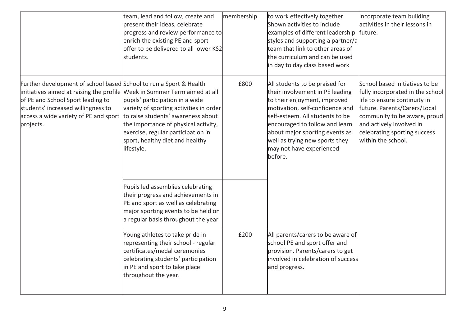|                                                                                                                                                                                                                                                                                  | team, lead and follow, create and<br>present their ideas, celebrate<br>progress and review performance to<br>enrich the existing PE and sport<br>offer to be delivered to all lower KS2<br>students.                                            | membership. | to work effectively together.<br>Shown activities to include<br>examples of different leadership<br>styles and supporting a partner/a<br>team that link to other areas of<br>the curriculum and can be used<br>in day to day class based work                                                                        | incorporate team building<br>activities in their lessons in<br>future.                                                                                                                                                                               |
|----------------------------------------------------------------------------------------------------------------------------------------------------------------------------------------------------------------------------------------------------------------------------------|-------------------------------------------------------------------------------------------------------------------------------------------------------------------------------------------------------------------------------------------------|-------------|----------------------------------------------------------------------------------------------------------------------------------------------------------------------------------------------------------------------------------------------------------------------------------------------------------------------|------------------------------------------------------------------------------------------------------------------------------------------------------------------------------------------------------------------------------------------------------|
| Further development of school based School to run a Sport & Health<br>initiatives aimed at raising the profile Week in Summer Term aimed at all<br>of PE and School Sport leading to<br>students' increased willingness to<br>access a wide variety of PE and sport<br>projects. | pupils' participation in a wide<br>variety of sporting activities in order<br>to raise students' awareness about<br>the importance of physical activity,<br>exercise, regular participation in<br>sport, healthy diet and healthy<br>lifestyle. | £800        | All students to be praised for<br>their involvement in PE leading<br>to their enjoyment, improved<br>motivation, self-confidence and<br>self-esteem. All students to be<br>encouraged to follow and learn<br>about major sporting events as<br>well as trying new sports they<br>may not have experienced<br>before. | School based initiatives to be<br>fully incorporated in the school<br>life to ensure continuity in<br>future. Parents/Carers/Local<br>community to be aware, proud<br>and actively involved in<br>celebrating sporting success<br>within the school. |
|                                                                                                                                                                                                                                                                                  | Pupils led assemblies celebrating<br>their progress and achievements in<br>PE and sport as well as celebrating<br>major sporting events to be held on<br>a regular basis throughout the year                                                    |             |                                                                                                                                                                                                                                                                                                                      |                                                                                                                                                                                                                                                      |
|                                                                                                                                                                                                                                                                                  | Young athletes to take pride in<br>representing their school - regular<br>certificates/medal ceremonies<br>celebrating students' participation<br>in PE and sport to take place<br>throughout the year.                                         | £200        | All parents/carers to be aware of<br>school PE and sport offer and<br>provision. Parents/carers to get<br>involved in celebration of success<br>and progress.                                                                                                                                                        |                                                                                                                                                                                                                                                      |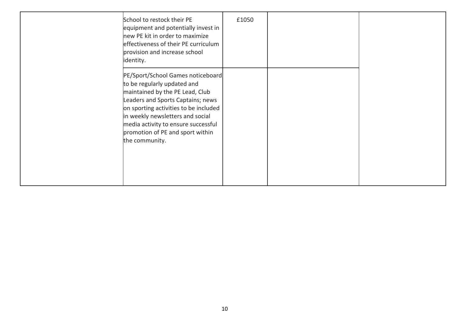| School to restock their PE<br>equipment and potentially invest in<br>new PE kit in order to maximize<br>effectiveness of their PE curriculum<br>provision and increase school<br>identity.                                                                                                                         | £1050 |  |
|--------------------------------------------------------------------------------------------------------------------------------------------------------------------------------------------------------------------------------------------------------------------------------------------------------------------|-------|--|
| PE/Sport/School Games noticeboard<br>to be regularly updated and<br>maintained by the PE Lead, Club<br>Leaders and Sports Captains; news<br>on sporting activities to be included<br>in weekly newsletters and social<br>media activity to ensure successful<br>promotion of PE and sport within<br>the community. |       |  |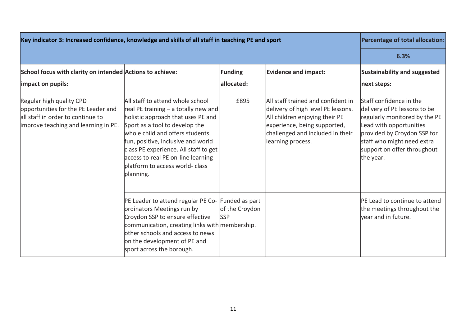| Key indicator 3: Increased confidence, knowledge and skills of all staff in teaching PE and sport                                            | Percentage of total allocation:                                                                                                                                                                                                                                                                                                                            |                                                |                                                                                                                                                                                                     |                                                                                                                                                                                                                              |
|----------------------------------------------------------------------------------------------------------------------------------------------|------------------------------------------------------------------------------------------------------------------------------------------------------------------------------------------------------------------------------------------------------------------------------------------------------------------------------------------------------------|------------------------------------------------|-----------------------------------------------------------------------------------------------------------------------------------------------------------------------------------------------------|------------------------------------------------------------------------------------------------------------------------------------------------------------------------------------------------------------------------------|
|                                                                                                                                              | 6.3%                                                                                                                                                                                                                                                                                                                                                       |                                                |                                                                                                                                                                                                     |                                                                                                                                                                                                                              |
| School focus with clarity on intended Actions to achieve:<br>impact on pupils:                                                               |                                                                                                                                                                                                                                                                                                                                                            | <b>Funding</b><br>allocated:                   | <b>Evidence and impact:</b>                                                                                                                                                                         | <b>Sustainability and suggested</b><br>next steps:                                                                                                                                                                           |
| Regular high quality CPD<br>opportunities for the PE Leader and<br>all staff in order to continue to<br>improve teaching and learning in PE. | All staff to attend whole school<br>real PE training $-$ a totally new and<br>holistic approach that uses PE and<br>Sport as a tool to develop the<br>whole child and offers students<br>fun, positive, inclusive and world<br>class PE experience. All staff to get<br>access to real PE on-line learning<br>platform to access world- class<br>planning. | £895                                           | All staff trained and confident in<br>delivery of high level PE lessons.<br>All children enjoying their PE<br>experience, being supported,<br>challenged and included in their<br>learning process. | Staff confidence in the<br>delivery of PE lessons to be<br>regularly monitored by the PE<br>Lead with opportunities<br>provided by Croydon SSP for<br>staff who might need extra<br>support on offer throughout<br>the year. |
|                                                                                                                                              | PE Leader to attend regular PE Co-<br>ordinators Meetings run by<br>Croydon SSP to ensure effective<br>communication, creating links with membership.<br>lother schools and access to news<br>on the development of PE and<br>sport across the borough.                                                                                                    | Funded as part<br>of the Croydon<br><b>SSP</b> |                                                                                                                                                                                                     | PE Lead to continue to attend<br>the meetings throughout the<br>vear and in future.                                                                                                                                          |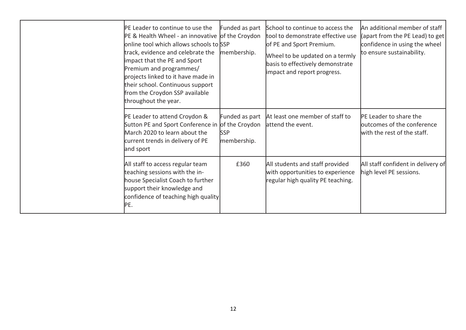|  | PE Leader to continue to use the<br>PE & Health Wheel - an innovative of the Croydon<br>online tool which allows schools to SSP<br>track, evidence and celebrate the<br>impact that the PE and Sport<br>Premium and programmes/<br>projects linked to it have made in<br>their school. Continuous support<br>from the Croydon SSP available<br>throughout the year. | Funded as part<br>membership.               | School to continue to access the<br>tool to demonstrate effective use<br>of PE and Sport Premium.<br>Wheel to be updated on a termly<br>basis to effectively demonstrate<br>impact and report progress. | An additional member of staff<br>(apart from the PE Lead) to get<br>confidence in using the wheel<br>to ensure sustainability. |
|--|---------------------------------------------------------------------------------------------------------------------------------------------------------------------------------------------------------------------------------------------------------------------------------------------------------------------------------------------------------------------|---------------------------------------------|---------------------------------------------------------------------------------------------------------------------------------------------------------------------------------------------------------|--------------------------------------------------------------------------------------------------------------------------------|
|  | PE Leader to attend Croydon &<br>Sutton PE and Sport Conference in of the Croydon<br>March 2020 to learn about the<br>current trends in delivery of PE<br>and sport                                                                                                                                                                                                 | Funded as part<br><b>SSP</b><br>membership. | At least one member of staff to<br>attend the event.                                                                                                                                                    | PE Leader to share the<br>outcomes of the conference<br>with the rest of the staff.                                            |
|  | All staff to access regular team<br>teaching sessions with the in-<br>house Specialist Coach to further<br>support their knowledge and<br>confidence of teaching high quality<br>PE.                                                                                                                                                                                | £360                                        | All students and staff provided<br>with opportunities to experience<br>regular high quality PE teaching.                                                                                                | All staff confident in delivery of<br>high level PE sessions.                                                                  |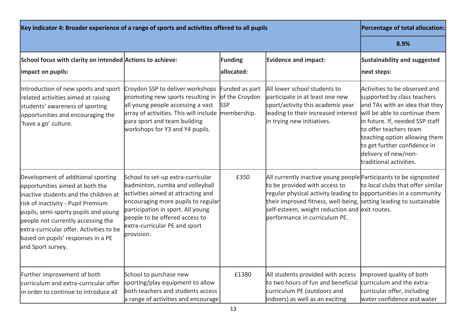| Key indicator 4: Broader experience of a range of sports and activities offered to all pupils                                                                                                                                                                                                                                             | Percentage of total allocation:                                                                                                                                                                                                                                        |                                                               |                                                                                                                                                                                                                                                                                                                                         |                                                                                                                                                                                                                                                                                                                  |
|-------------------------------------------------------------------------------------------------------------------------------------------------------------------------------------------------------------------------------------------------------------------------------------------------------------------------------------------|------------------------------------------------------------------------------------------------------------------------------------------------------------------------------------------------------------------------------------------------------------------------|---------------------------------------------------------------|-----------------------------------------------------------------------------------------------------------------------------------------------------------------------------------------------------------------------------------------------------------------------------------------------------------------------------------------|------------------------------------------------------------------------------------------------------------------------------------------------------------------------------------------------------------------------------------------------------------------------------------------------------------------|
|                                                                                                                                                                                                                                                                                                                                           |                                                                                                                                                                                                                                                                        |                                                               |                                                                                                                                                                                                                                                                                                                                         | 8.9%                                                                                                                                                                                                                                                                                                             |
| School focus with clarity on intended Actions to achieve:<br>impact on pupils:                                                                                                                                                                                                                                                            |                                                                                                                                                                                                                                                                        | <b>Funding</b><br>allocated:                                  | <b>Evidence and impact:</b>                                                                                                                                                                                                                                                                                                             | Sustainability and suggested<br>next steps:                                                                                                                                                                                                                                                                      |
| Introduction of new sports and sport<br>related activities aimed at raising<br>students' awareness of sporting<br>opportunities and encouraging the<br>'have a go' culture.                                                                                                                                                               | Croydon SSP to deliver workshops<br>promoting new sports resulting in<br>all young people accessing a vast<br>array of activities. This will include<br>para sport and team building<br>workshops for Y3 and Y4 pupils.                                                | Funded as part<br>of the Croydon<br><b>SSP</b><br>membership. | All lower school students to<br>participate in at least one new<br>sport/activity this academic year<br>leading to their increased interest<br>in trying new initiatives.                                                                                                                                                               | Activities to be observed and<br>supported by class teachers<br>and TAs with an idea that they<br>will be able to continue them<br>in future. If, needed SSP staff<br>to offer teachers team<br>teaching option allowing them<br>to get further confidence in<br>delivery of new/non-<br>traditional activities. |
| Development of additional sporting<br>opportunities aimed at both the<br>inactive students and the children at<br>risk of inactivity - Pupil Premium<br>pupils, semi-sporty pupils and young<br>people not currently accessing the<br>extra-curricular offer. Activities to be<br>based on pupils' responses in a PE<br>and Sport survey. | School to set-up extra-curricular<br>badminton, zumba and volleyball<br>activities aimed at attracting and<br>encouraging more pupils to regular<br>participation in sport. All young<br>people to be offered access to<br>extra-curricular PE and sport<br>provision. | £350                                                          | All currently inactive young people Participants to be signposted<br>to be provided with access to<br>regular physical activity leading to <i>opportunities</i> in a community<br>their improved fitness, well-being, setting leading to sustainable<br>self-esteem, weight reduction and exit routes.<br>performance in curriculum PE. | to local clubs that offer similar                                                                                                                                                                                                                                                                                |
| Further improvement of both<br>curriculum and extra-curricular offer<br>in order to continue to introduce all                                                                                                                                                                                                                             | School to purchase new<br>sporting/play equipment to allow<br>both teachers and students access<br>a range of activities and encourage                                                                                                                                 | £1380                                                         | All students provided with access<br>to two hours of fun and beneficial<br>curriculum PE (outdoors and<br>indoors) as well as an exciting                                                                                                                                                                                               | Improved quality of both<br>curriculum and the extra-<br>curricular offer, including<br>water confidence and water                                                                                                                                                                                               |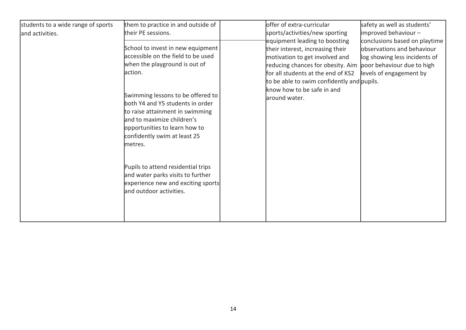| students to a wide range of sports | them to practice in and outside of                                                                                                                                                                                 |  | offer of extra-curricular                                                                                                                                                                                                                                                                                                                                                                            | safety as well as students'                                    |
|------------------------------------|--------------------------------------------------------------------------------------------------------------------------------------------------------------------------------------------------------------------|--|------------------------------------------------------------------------------------------------------------------------------------------------------------------------------------------------------------------------------------------------------------------------------------------------------------------------------------------------------------------------------------------------------|----------------------------------------------------------------|
| and activities.                    | their PE sessions.                                                                                                                                                                                                 |  | sports/activities/new sporting<br>equipment leading to boosting<br>observations and behaviour<br>their interest, increasing their<br>motivation to get involved and<br>reducing chances for obesity. Aim<br>poor behaviour due to high<br>for all students at the end of KS2<br>levels of engagement by<br>to be able to swim confidently and pupils.<br>know how to be safe in and<br>around water. | $improved$ behaviour $-$                                       |
|                                    | School to invest in new equipment<br>accessible on the field to be used<br>when the playground is out of<br>action.                                                                                                |  |                                                                                                                                                                                                                                                                                                                                                                                                      | conclusions based on playtime<br>log showing less incidents of |
|                                    | Swimming lessons to be offered to<br>both Y4 and Y5 students in order<br>to raise attainment in swimming<br>and to maximize children's<br>opportunities to learn how to<br>confidently swim at least 25<br>metres. |  |                                                                                                                                                                                                                                                                                                                                                                                                      |                                                                |
|                                    | Pupils to attend residential trips<br>and water parks visits to further<br>experience new and exciting sports<br>and outdoor activities.                                                                           |  |                                                                                                                                                                                                                                                                                                                                                                                                      |                                                                |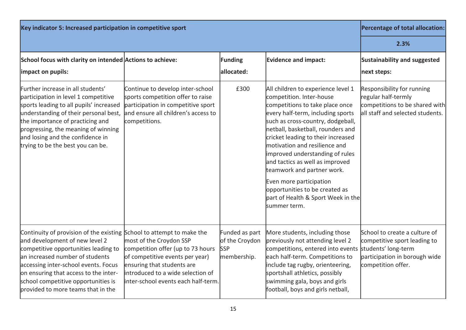| Key indicator 5: Increased participation in competitive sport                                                                                                                                                                                                                                                                                    | Percentage of total allocation:                                                                                                                                                                           |                                                               |                                                                                                                                                                                                                                                                                                                                                                                                                                                                                                                |                                                                                                                                             |
|--------------------------------------------------------------------------------------------------------------------------------------------------------------------------------------------------------------------------------------------------------------------------------------------------------------------------------------------------|-----------------------------------------------------------------------------------------------------------------------------------------------------------------------------------------------------------|---------------------------------------------------------------|----------------------------------------------------------------------------------------------------------------------------------------------------------------------------------------------------------------------------------------------------------------------------------------------------------------------------------------------------------------------------------------------------------------------------------------------------------------------------------------------------------------|---------------------------------------------------------------------------------------------------------------------------------------------|
|                                                                                                                                                                                                                                                                                                                                                  | 2.3%                                                                                                                                                                                                      |                                                               |                                                                                                                                                                                                                                                                                                                                                                                                                                                                                                                |                                                                                                                                             |
| School focus with clarity on intended Actions to achieve:<br>impact on pupils:                                                                                                                                                                                                                                                                   |                                                                                                                                                                                                           | Funding<br>allocated:                                         | <b>Evidence and impact:</b>                                                                                                                                                                                                                                                                                                                                                                                                                                                                                    | Sustainability and suggested<br>next steps:                                                                                                 |
| Further increase in all students'<br>participation in level 1 competitive<br>sports leading to all pupils' increased<br>understanding of their personal best,<br>the importance of practicing and<br>progressing, the meaning of winning<br>and losing and the confidence in<br>trying to be the best you can be.                                | Continue to develop inter-school<br>sports competition offer to raise<br>participation in competitive sport<br>and ensure all children's access to<br>competitions.                                       | £300                                                          | All children to experience level 1<br>competition. Inter-house<br>competitions to take place once<br>every half-term, including sports<br>such as cross-country, dodgeball,<br>netball, basketball, rounders and<br>cricket leading to their increased<br>motivation and resilience and<br>improved understanding of rules<br>and tactics as well as improved<br>teamwork and partner work.<br>Even more participation<br>opportunities to be created as<br>part of Health & Sport Week in the<br>summer term. | <b>Responsibility for running</b><br>regular half-termly<br>competitions to be shared with<br>all staff and selected students.              |
| Continuity of provision of the existing School to attempt to make the<br>and development of new level 2<br>competitive opportunities leading to<br>an increased number of students<br>accessing inter-school events. Focus<br>on ensuring that access to the inter-<br>school competitive opportunities is<br>provided to more teams that in the | most of the Croydon SSP<br>competition offer (up to 73 hours<br>of competitive events per year)<br>ensuring that students are<br>introduced to a wide selection of<br>inter-school events each half-term. | Funded as part<br>of the Croydon<br><b>SSP</b><br>membership. | More students, including those<br>previously not attending level 2<br>competitions, entered into events<br>each half-term. Competitions to<br>include tag rugby, orienteering,<br>sportshall athletics, possibly<br>swimming gala, boys and girls<br>football, boys and girls netball,                                                                                                                                                                                                                         | School to create a culture of<br>competitive sport leading to<br>students' long-term<br>participation in borough wide<br>competition offer. |